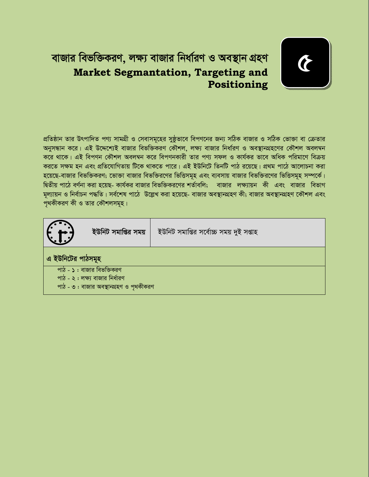# বাজার বিভক্তিকরণ, লক্ষ্য বাজার নির্ধারণ ও অবস্থান গ্রহণ **Market Segmantation, Targeting and** Positioning



প্রতিষ্ঠান তার উৎপাদিত পণ্য সামগ্রী ও সেবাসমূহের সুষ্ঠূভাবে বিপণনের জন্য সঠিক বাজার ও সঠিক ভোক্তা বা ক্রেতার অনুসন্ধান করে। এই উদ্দেশ্যেই বাজার বিভক্তিকরণ কৌশল, লক্ষ্য বাজার নির্ধারণ ও অবস্থানগ্রহণের কৌশল অবলম্বন করে থাকে। এই বিপণন কৌশল অবলম্বন করে বিপণনকারী তার পণ্য সফল ও কার্যকর ভাবে অধিক পরিমাণে বিক্রয় করতে সক্ষম হন এবং প্রতিযোগিতায় টিকে থাকতে পারে। এই ইউনিটে তিনটি পাঠ রয়েছে। প্রথম পাঠে আলোচনা করা হয়েছে-বাজার বিভক্তিকরণ; ভোক্তা বাজার বিভক্তিরণের ভিত্তিসমূহ এবং ব্যবসায় বাজার বিভক্তিরণের ভিত্তিসমূহ সম্পর্কে। দ্বিতীয় পাঠে বর্ণনা করা হয়েছ- কার্যকর বাজার বিভক্তিকরণের শর্তাবলি; বাজার লক্ষ্যায়ন কী এবং বাজার বিভাগ মূল্যায়ন ও নির্বাচন পদ্ধতি। সর্বশেষ পাঠে উল্লেখ করা হয়েছে- বাজার অবস্থানগ্রহণ কী; বাজার অবস্থানগ্রহণ কৌশল এবং পথকীকরণ কী ও তার কৌশলসমূহ।

|                                         | ইউনিট সমাপ্তির সময় | ইউনিট সমাপ্তির সর্বোচ্চ সময় দুই সপ্তাহ |  |  |  |  |  |
|-----------------------------------------|---------------------|-----------------------------------------|--|--|--|--|--|
| এ ইউনিটের পাঠসমূহ                       |                     |                                         |  |  |  |  |  |
| পাঠ - <b>১</b> : বাজার বিভক্তিকরণ       |                     |                                         |  |  |  |  |  |
| পাঠ - ২ : লক্ষ্য বাজার নির্ধারণ         |                     |                                         |  |  |  |  |  |
| পাঠ - ৩ : বাজার অবস্থানগ্রহণ ও পৃথকীকরণ |                     |                                         |  |  |  |  |  |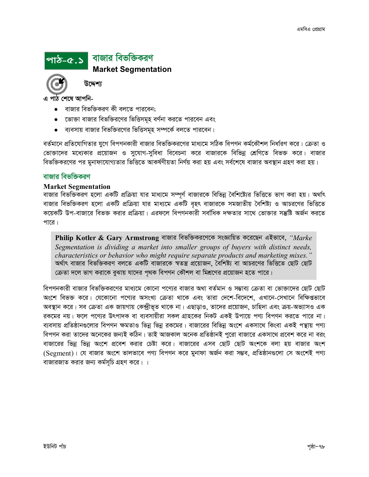## পাঠ-৫.১ বাজার বিভক্তিকরণ **Market Segmentation**



উদ্দেশ্য

এ পাঠ শেষে আপনি-

- বাজার বিভক্তিকরণ কী বলতে পারবেন:
- ভোক্তা বাজার বিভক্তিরণের ভিত্তিসমূহ বর্ণনা করতে পারবেন এবং
- ব্যবসায় বাজার বিভক্তিরণের ভিত্তিসমূহ সম্পর্কে বলতে পারবেন।  $\bullet$

বর্তমানে প্রতিযোগিতার যুগে বিপণনকারী বাজার বিভক্তিকরণের মাধ্যমে সঠিক বিপণন কর্মকৌশল নির্ধারণ করে। ক্রেতা ও ভোক্তাদের মধ্যেকার প্রয়োজন ও সুযোগ-সুবিধা বিবেচনা করে বাজারকে বিভিন্ন শ্রেণিতে বিভক্ত করে। বাজার বিভক্তিকরণের পর মুনাফাযোগ্যতার ভিত্তিতে আকর্ষণীয়তা নির্ণয় করা হয় এবং সর্বশেষে বাজার অবস্থান গ্রহণ করা হয়।

## বাজার বিভক্তিকরণ

#### **Market Segmentation**

বাজার বিভক্তিকরণ হলো একটি প্রক্রিয়া যার মাধ্যমে সম্পূর্ণ বাজারকে বিভিন্ন বৈশিষ্ট্যের ভিত্তিতে ভাগ করা হয়। অর্থাৎ বাজার বিভক্তিকরণ হলো একটি প্রক্রিয়া যার মাধ্যমে একটি বৃহৎ বাজারকে সমজাতীয় বৈশিষ্ট্য ও আচরণের ভিত্তিতে কয়েকটি উপ-বাজারে বিভক্ত করার প্রক্রিয়া। এরফলে বিপণনকারী সর্বাধিক দক্ষতার সাথে ভোক্তার সম্ভ্রষ্টি অর্জন করতে পারে।

Philip Kotler & Gary Armstrong বাজার বিভক্তিকরণেকে সংজ্ঞায়িত করেছেন এইভাবে, "Marke Segmentation is dividing a market into smaller groups of buyers with distinct needs, characteristics or behavior who might require separate products and marketing mixes." অৰ্থাৎ বাজার বিভক্তিকরণ বলতে একটি বাজারকে স্বতন্ত্র প্রয়োজন, বৈশিষ্ট্য বা আচরণের ভিত্তিতে ছোট ছোট ক্রেতা দলে ভাগ করাকে বুঝায় যাদের পৃথক বিপণন কৌশল বা মিশ্রণের প্রয়োজন হতে পারে।

বিপণনকারী বাজার বিভক্তিকরণের মাধ্যমে কোনো পণ্যের বাজার অথা বর্তমান ও সম্ভাব্য ক্রেতা বা ভোক্তাদের ছোট ছোট অংশে বিভক্ত করে। যেকোনো পণ্যের অসংখ্য ক্রেতা থাকে এবং তারা দেশে-বিদেশে, এখানে-সেখানে বিক্ষিগুভাবে অবস্থান করে। সব ক্রেতা এক জায়গায় কেন্দ্রীভূত থাকে না। এছাড়াও, তাদের প্রয়োজন, চাহিদা এবং ক্রয়-অভ্যাসও এক রকমের নয়। ফলে পণ্যের উৎপাদক বা ব্যবসায়ীরা সকল গ্রাহকের নিকট একই উপায়ে পণ্য বিপণন করতে পারে না। ব্যবসায় প্রতিষ্ঠানগুলোর বিপণন ক্ষমতাও ভিন্ন ভিন্ন রকমের। বাজারের বিভিন্ন অংশে একসাথে কিংবা একই পন্থায় পণ্য বিপণন করা তাদের অনেকের জন্যই কঠিন। তাই আজকাল অনেক প্রতিষ্ঠানই পুরো বাজারে একসাথে প্রবেশ করে না বরং বাজারের ভিন্ন ভিন্ন অংশে প্রবেশ করার চেষ্টা করে। বাজারের এসব ছোট ছোট অংশকে বলা হয় বাজার অংশ (Segment)। যে বাজার অংশে ভালভাবে পণ্য বিপণন করে মুনাফা অর্জন করা সম্ভব, প্রতিষ্ঠানগুলো সে অংশেই পণ্য বাজারজাত করার জন্য কর্মসূচি গ্রহণ করে। ।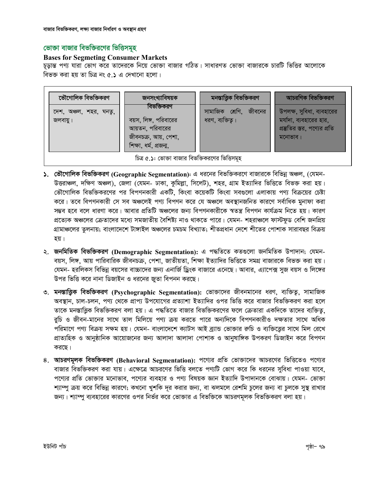## ভোক্তা বাজার বিভক্তিরণের ভিত্তিসমূহ

## **Bases for Segmeting Consumer Markets**

চূড়ান্ত পণ্য যারা ভোগ করে তাদেরকে নিয়ে ভোক্তা বাজার গঠিত। সাধারণত ভোক্তা বাজারকে চারটি ভিত্তির আলোকে বিভক্ত করা হয় তা চিত্র নং ৫.১ এ দেখানো হলো।

| ভৌগোলিক বিভক্তিকরণ                              | জনসংখ্যাবিষয়ক                                 | মনস্তাত্ত্বিক বিভক্তিকরণ | আচরণিক বিভক্তিকরণ                                       |  |  |  |  |  |
|-------------------------------------------------|------------------------------------------------|--------------------------|---------------------------------------------------------|--|--|--|--|--|
| দেশ, অঞ্চল, শহর, ঘনতু,                          | বিভক্তিকরণ                                     | সামাজিক শ্রেণি, জীবনের   | উপলক্ষ, সুবিধা, ব্যবহারের                               |  |  |  |  |  |
| জলবায়ু।                                        | বয়স, লিঙ্গ, পরিবারের<br>আয়তন, পরিবারের       | ধরণ, ব্যক্তিত্ব।         | মর্যাদা, ব্যবহারের হার,<br>প্রম্ভতির স্তর, পণ্যের প্রতি |  |  |  |  |  |
|                                                 | জীবনচক্র, আয়, পেশা,<br>শিক্ষা, ধৰ্ম, প্ৰজন্ম, |                          | মনোভাব।                                                 |  |  |  |  |  |
| চিত্র ৫.১: ভোক্তা বাজার বিভক্তিকরণের ভিত্তিসমূহ |                                                |                          |                                                         |  |  |  |  |  |

- ১. ভৌগোলিক বিভক্তিকরণ (Geographic Segmentation): এ ধরনের বিভক্তিকরণে বাজারকে বিভিন্ন অঞ্চল, (যেমন-উত্তরাঞ্চল, দক্ষিণ অঞ্চল), জেলা (যেমন- ঢাকা, কুমিল্লা, সিলেট), শহর, গ্রাম ইত্যাদির ভিত্তিতে বিভক্ত করা হয়। ভৌগোলিক বিভক্তিকরণের পর বিপণনকারী একটি, কিংবা কয়েকটি কিংবা সবগুলো এলাকায় পণ্য বিক্রয়ের চেষ্টা করে। তবে বিপণনকারী সে সব অঞ্চলেই পণ্য বিপণন করে যে অঞ্চলে অবস্থানজনিত কারণে সর্বাধিক মনাফা করা সম্ভব হবে বলে ধারণা করে। আবার প্রতিটি অঞ্চলের জন্য বিপণনকারীকে স্বতন্ত্র বিপণন কার্যক্রম নিতে হয়। কারণ প্রত্যেক অঞ্চলের ক্রেতাদের মধ্যে সমজাতীয় বৈশিষ্ট্য নাও থাকতে পারে। যেমন- শহরাঞ্চলে ফাস্টফুড বেশি জনপ্রিয় গ্রামাঞ্চলের তলনায়; বাংলাদেশে টাঙ্গাইল অঞ্চলের চমচম বিখ্যাত; শীতপ্রধান দেশে শীতের পোশাক সারাবছর বিক্রয় হয়।
- ২. জনমিতিক বিভক্তিকরণ (Demographic Segmentation): এ পদ্ধতিতে কতগুলো জনমিতিক উপাদান; যেমন-বয়স, লিঙ্গ, আয় পারিবারিক জীবনচক্র, পেশা, জাতীয়তা, শিক্ষা ইত্যাদির ভিত্তিতে সমগ্র বাজারকে বিভক্ত করা হয়। যেমন- হরলিকস বিভিন্ন বয়সের বাচ্চাদের জন্য এনার্জি ড্রিংক বাজারে এনেছে। আবার, এ্যাপেক্স সজ বয়স ও লিঙ্গের উপর ভিত্তি করে নানা ডিজাইন ও ধরনের জতা বিপনন করছে।
- ৩. মনস্তাত্ত্বিক বিভক্তিকরণ (Psychographic Segmentation): ভোক্তাদের জীবনমানের ধরণ, ব্যক্তিতু, সামাজিক অবস্থান, চাল-চলন, পণ্য থেকে প্রাপ্য উপযোগের প্রত্যাশা ইত্যাদির ওপর ভিত্তি করে বাজার বিভক্তিকরণ করা হলে তাকে মনস্তাত্তিক বিভক্তিকরণ বলা হয়। এ পদ্ধতিতে বাজার বিভক্তিকরণের ফলে ক্রেতারা একদিকে তাদের ব্যক্তিতু, ৱচি ও জীবন-মানের সাথে তাল মিলিয়ে পণ্য ক্রয় করতে পারে অন্যদিকে বিপণনকারীও দক্ষতার সাথে অধিক পরিমাণে পণ্য বিক্রয় সক্ষম হয়। যেমন- বাংলাদেশে ক্যাটস আই ব্যান্ড ভোক্তার রুচি ও ব্যক্তিত্তের সাথে মিল রেখে প্রাত্যহিক ও আনুষ্ঠানিক আয়োজনের জন্য আলাদা আলাদা পোশাক ও আনুষাঙ্গিক উপকরণ ডিজাইন করে বিপণন করছে।
- ৪. আচরণমূলক বিভক্তিকরণ (Behavioral Segmentation): পণ্যের প্রতি ভোক্তাদের আচরণের ভিত্তিতেও পণ্যের বাজার বিভক্তিকরণ করা যায়। এক্ষেত্রে আচরণের ভিত্তি বলতে পণ্যটি ভোগ করে কি ধরনের সুবিধা পাওয়া যাবে, পণ্যের প্রতি ভোক্তার মনোভাব, পণ্যের ব্যবহার ও পণ্য বিষয়ক জ্ঞান ইত্যাদি উপাদানকে বোঝায়। যেমন- ভোক্তা শ্যাম্পু ক্রয় করে বিভিন্ন কারণে; কখনো খুশকি দূর করার জন্য, বা ঝলমলে রেশমি চুলের জন্য বা চুলকে সুস্থ রাখার জন্য। শ্যাম্পু ব্যবহারের কারণের ওপর নির্ভর করে ভোক্তার এ বিভক্তিকে আচরণমূলক বিভক্তিকরণ বলা হয়।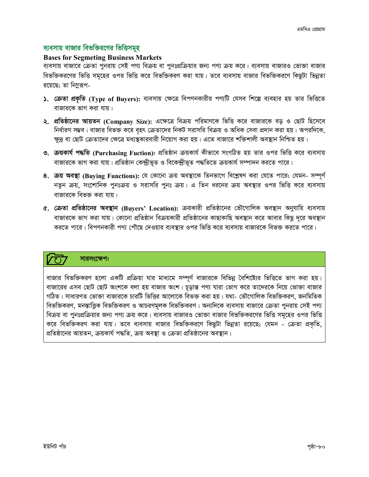## ব্যবসায় বাজার বিভক্তিরণের ভিত্তিসমূহ

## **Bases for Segmeting Business Markets**

ব্যবসায় বাজারে ক্রেতা পুনরায় সেই পণ্য বিক্রয় বা পুনঃপ্রক্রিয়ার জন্য পণ্য ক্রয় করে। ব্যবসায় বাজারও ভোক্তা বাজার বিভক্তিকরণের ভিত্তি সমূহের ওপর ভিত্তি করে বিভক্তিকরণ করা যায়। তবে ব্যবসায় বাজার বিভক্তিকরণে কিছুটা ভিন্নতা রয়েছে; তা নিম্নুরূপ-

- ১. ক্রেতা প্রকৃতি (Type of Buyers): ব্যবসায় ক্ষেত্রে বিপণনকারীর পণ্যটি যেসব শিল্পে ব্যবহার হয় তার ভিত্তিতে বাজারকে ভাগ করা যায়।
- ২. প্রতিষ্ঠানের আয়তন (Company Size): এক্ষেত্রে বিক্রয় পরিমাণকে ভিত্তি করে বাজারকে বড় ও ছোট হিসেবে নির্ধারণ সম্ভব। বাজার বিভক্ত করে বৃহৎ ক্রেতাদের নিকট সরাসরি বিক্রয় ও অধিক সেবা প্রদান করা হয়। অপরদিকে, ক্ষুদ্র বা ছোট ক্রেতাদের ক্ষেত্রে মধ্যস্থকারবারী নিয়োগ করা হয়। এতে বাজারে শক্তিশালী অবস্থান নিশ্চিত হয়।
- ৩. ক্রয়কার্য পদ্ধতি (Purchasing Fuction): প্রতিষ্ঠান ক্রয়কার্য কীভাবে সংগঠিত হয় তার ওপর ভিত্তি করে ব্যবসায় বাজারকে ভাগ করা যায়। প্রতিষ্ঠান কেন্দ্রীভূত ও বিকেন্দ্রীভূত পদ্ধতিতে ক্রয়কার্য সম্পাদন করতে পারে।
- 8. ক্রয় অবস্থা (Buying Functions): যে কোনো ক্রয় অবস্থাকে তিনভাগে বিশ্লেষণ করা যেতে পারে; যেমন- সম্পূর্ণ নতুন ক্রয়, সংশোনিক পুনঃক্রয় ও সরাসরি পুনঃ ক্রয়। এ তিন ধরনের ক্রয় অবস্থার ওপর ভিত্তি করে ব্যবসায় বাজারকে বিভক্ত করা যায়।
- ৫. ক্রেতা প্রতিষ্ঠানের অবস্থান (Buyers' Location): ক্রয়কারী প্রতিষ্ঠানের ভৌগোলিক অবস্থান অনুযায়ি ব্যবসায় বাজারকে ভাগ করা যায়। কোনো প্রতিষ্ঠান বিক্রয়কারী প্রতিষ্ঠানের কাছাকাছি অবস্থান করে আবার কিছু দূরে অবস্থান করতে পারে। বিপণনকারী পণ্য পৌছে দেওয়ার ব্যবস্থার ওপর ভিত্তি করে ব্যবসায় বাজারকে বিভক্ত করতে পারে।

## সারসংক্ষেপ:

বাজার বিভক্তিকরণ হলো একটি প্রক্রিয়া যার মাধ্যমে সম্পূর্ণ বাজারকে বিভিন্ন বৈশিষ্ট্যের ভিত্তিতে ভাগ করা হয়। বাজারের এসব ছোট ছোট অংশকে বলা হয় বাজার অংশ। চূড়ান্ত পণ্য যারা ভোগ করে তাদেরকে নিয়ে ভোক্তা বাজার গঠিত। সাধারণত ভোক্তা বাজারকে চারটি ভিত্তির আলোকে বিভক্ত করা হয়। যথা- ভৌগোলিক বিভক্তিকরণ, জনমিতিক বিভক্তিকরণ, মনস্তাত্ত্বিক বিভক্তিকরণ ও আচরণমূলক বিভক্তিকরণ। অন্যদিকে ব্যবসায় বাজারে ক্রেতা পুনরায় সেই পণ্য বিক্রয় বা পুনঃপ্রক্রিয়ার জন্য পণ্য ক্রয় করে। ব্যবসায় বাজারও ভোক্তা বাজার বিভক্তিকরণের ভিত্তি সমূহের ওপর ভিত্তি করে বিভক্তিকরণ করা যায়। তবে ব্যবসায় বাজার বিভক্তিকরণে কিছুটা ভিন্নতা রয়েছে; যেমন - ক্রেতা প্রকৃতি, প্রতিষ্ঠানের আয়তন, ক্রয়কার্য পদ্ধতি, ক্রয় অবস্থা ও ক্রেতা প্রতিষ্ঠানের অবস্থান।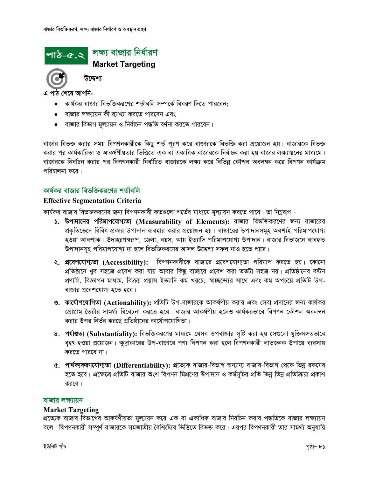## লক্ষ্য বাজার নির্ধারণ পাঠ-৫.২ **Market Targeting**

উদ্দেশ্য

এ পাঠ শেষে আপনি-

- কার্যকর বাজার বিভক্তিকরণের শর্তাবলি সম্পর্কে বিবরণ দিতে পারবেন;
- বাজার লক্ষ্যায়ন কী ব্যাখ্যা করতে পারবেন এবং
- বাজার বিভাগ মূল্যায়ন ও নির্বাচন পদ্ধতি বর্ণনা করতে পারবেন।

বাজার বিভক্ত করার সময় বিপণনকারীকে কিছু শর্ত পূরণ করে বাজারকে বিভক্তি করা প্রয়োজন হয়। বাজারকে বিভক্ত করার পর কার্যকারিতা ও আকর্ষণীয়তার ভিত্তিতে এক বা একাধিক বাজারকে নির্বাচন করা হয় বাজার লক্ষ্যায়নের মাধ্যমে। বাজারকে নির্বাচন করার পর বিপণনকারী নির্বাচিত বাজারকে লক্ষ্য করে বিভিন্ন কৌশল অবলম্বন করে বিপণন কার্যক্রম পরিচালনা করে।

## কাৰ্যকৰ বাজাৰ বিভক্তিকৰণেৰ শৰ্তাবলি

## **Effective Segmentation Criteria**

কার্যকর বাজার বিভক্তকরণের জন্য বিপণনকারী কতগুলো শর্তের মাধ্যমে মূল্যায়ন করতে পারে। তা নিমুরূপ -

- $\lambda$ . উপাদানের পরিমাপযোগ্যতা (Measurability of Elements): বাজার বিভক্তিকরণের জন্য বাজারের প্রকৃতিভেদে বিবিধ প্রকার উপাদান ব্যবহার করার প্রয়োজন হয়। বাজারের উপাদানসমূহ অবশ্যই পরিমাপযোগ্য হওয়া আবশ্যক। উদাহরণস্বরূপ, জেলা, বয়স, আয় ইত্যাদি পরিমাপযোগ্য উপাদান। বাজার বিভাজনে ব্যবহৃত উপাদানসহ পরিমাপযোগ্য না হলে বিভক্তিকরণের আসল উদ্দেশ্য সফল নাও হতে পারে।
- ২. প্রবেশযোগ্যতা (Accessibility): বিপণনকারীকে বাজারে প্রবেশযোগ্যতা পরিমাপ করতে হয়। কোনো প্রতিষ্ঠানে খুব সহজে প্রবেশ করা যায় আবার কিছু বাজারে প্রবেশ করা ততটা সহজ নয়। প্রতিষ্ঠানের বন্টন প্রণালি, বিজ্ঞাপন মাধ্যম, বিক্রয় প্রয়াস ইত্যাদি কম খরচে, স্বাচ্ছন্দ্যের সাথে এবং কম অপচয়ে প্রতিটি উপ-বাজার প্রবেশযোগ্য হতে হবে।
- ৩. কার্যোপযোগিতা (Actionability): প্রতিটি উপ-বাজারকে আকর্ষণীয় করার এবং সেবা প্রদানের জন্য কার্যকর প্রোগ্রাম তৈরীর সামর্থ্য বিবেচনা করতে হবে। বাজার আকর্ষণীয় হলেও কার্যকরভাবে বিপণন কৌশল অবলম্বন করার উপর নির্ভর করছে প্রতিষ্ঠানের কার্যোপযোগিতা।
- ৪. পর্যাপ্ততা (Substantiality): বিভক্তিকরণের মাধ্যমে যেসব উপবাজার সৃষ্টি করা হয় সেগুলো যুক্তিসঙ্গতভাবে বৃহৎ হওয়া প্রয়োজন। ক্ষুদ্রাকারের উপ-বাজারে পণ্য বিপণন করা হলে বিপণনকারী লাভজনক উপায়ে ব্যবসায় করতে পারবে না।
- ৫. পার্থক্যকরণযোগ্যতা (Differentiability): প্রত্যেক বাজার-বিভাগ অন্যান্য বাজার-বিভাগ থেকে ভিন্ন রকমের হতে হবে। এক্ষেত্রে প্রতিটি বাজার অংশ বিপণন মিশ্রণের উপাদান ও কর্মসূচির প্রতি ভিন্ন ভিন্ন প্রতিক্রিয়া প্রকাশ করবে।

#### বাজার লক্ষ্যায়ন

#### **Market Targeting**

প্রত্যেক বাজার বিভাগের আকর্ষণীয়তা মূল্যায়ন করে এক বা একাধিক বাজার নির্বাচন করার পদ্ধতিকে বাজার লক্ষ্যায়ন বলে। বিপণনকারী সম্পূর্ণ বাজারকে সমজাতীয় বৈশিষ্ট্যের ভিত্তিতে বিভক্ত করে। এরপর বিপণনকারী তার সামর্থ্য অনুযায়ি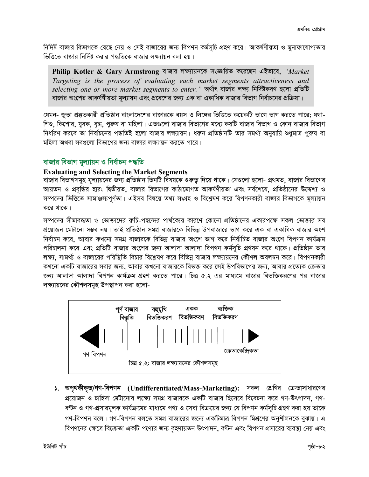নিদির্ষ্ট বাজার বিভাগকে বেছে নেয় ও সেই বাজারের জন্য বিপণন কর্মসূচি গ্রহণ করে। আকর্ষণীয়তা ও মুনাফাযোগ্যতার ভিত্তিতে বাজার নির্দিষ্ট করার পদ্ধতিকে বাজার লক্ষ্যায়ন বলা হয়।

**Philip Kotler & Gary Armstrong** বাজার লক্ষ্যায়নকে সংজ্ঞায়িত করেছেন এইভাবে, *"Market* Targeting is the process of evaluating each market segments attractiveness and selecting one or more market segments to enter." অৰ্থাৎ বাজার লক্ষ্য নিৰ্দিষ্টকরণ হলো প্ৰতিটি বাজার অংশের আকর্ষণীয়তা মূল্যায়ন এবং প্রবেশের জন্য এক বা একাধিক বাজার বিভাগ নির্বাচনের প্রক্রিয়া।

যেমন- জুতা প্রস্তুতকারী প্রতিষ্ঠান বাংলাদেশের বাজারকে বয়স ও লিঙ্গের ভিত্তিতে কয়েকটি ভাগে ভাগ করতে পারে; যথা-শিশু, কিশোর, যুবক, বৃদ্ধ, পুরুষ বা মহিলা। এতগুলো বাজার বিভাগের মধ্যে কয়টি বাজার বিভাগ ও কোন বাজার বিভাগ নির্ধারণ করবে তা নির্বাচনের পদ্ধতিই হলো বাজার লক্ষ্যায়ন। ধরুন প্রতিষ্ঠানটি তার সমর্থ্য অনুযায়ি শুধুমাত্র পুরুষ বা মহিলা অথবা সবগুলো বিভাগের জন্য বাজার লক্ষ্যায়ন করতে পারে।

## বাজার বিভাগ মূল্যায়ন ও নির্বাচন পদ্ধতি

## **Evaluating and Selecting the Market Segments**

বাজার বিভাগসমূহ মূল্যায়নের জন্য প্রতিষ্ঠান তিনটি বিষয়কে গুরুত্ব দিয়ে থাকে। সেগুলো হলো- প্রথমত, বাজার বিভাগের আয়তন ও প্রবৃদ্ধির হার; দ্বিতীয়ত, বাজার বিভাগের কাঠামোগত আকর্ষণীয়তা এবং সর্বশেষে, প্রতিষ্ঠানের উদ্দেশ্য ও সম্পদের ভিত্তিতে সামাঞ্জস্যপূর্ণতা। এইসব বিষয়ে তথ্য সংগ্রহ ও বিশ্লেষণ করে বিপণনকারী বাজার বিভাগকে মূল্যায়ন করে থাকে।

সম্পদের সীমাবদ্ধতা ও ভোক্তাদের রুচি-পছন্দের পার্থক্যের কারণে কোনো প্রতিষ্ঠানের একারপক্ষে সকল ভোক্তার সব প্রয়োজন মেটানো সম্ভব নয়। তাই প্রতিষ্ঠান সমগ্র বাজারকে বিভিন্ন উপবাজারে ভাগ করে এক বা একাধিক বাজার অংশ নির্বাচন করে, আবার কখনো সমগ্র বাজারকে বিভিন্ন বাজার অংশে ভাগ করে নির্বাচিত বাজার অংশে বিপণন কার্যক্রম পরিচালনা করে এবং প্রতিটি বাজার অংশের জন্য আলাদা আলাদা বিপণন কর্মসূচি প্রণয়ন করে থাকে। প্রতিষ্ঠান তার লক্ষ্য, সামর্থ্য ও বাজারের পরিস্থিতি বিচার বিশ্লেষণ করে বিভিন্ন বাজার লক্ষ্যায়নের কৌশল অবলম্বন করে। বিপণনকারী কখনো একটি বাজারের সবার জন্য, আবার কখনো বাজারকে বিভক্ত করে সেই উপবিভাগের জন্য, আবার প্রত্যেক ক্রেতার জন্য আলাদা আলাদা বিপণন কার্যক্রম গ্রহণ করতে পারে। চিত্র ৫.২ এর মাধ্যমে বাজার বিভক্তিকরণের পর বাজার লক্ষ্যায়নের কৌশলসমূহ উপস্থাপন করা হলো-



১. অপৃথকীকৃত/গণ-বিপণন (Undifferentiated/Mass-Marketing): সকল শ্রেণির ক্রেতাসাধারণের প্রয়োজন ও চাহিদা মেটানোর লক্ষ্যে সমগ্র বাজারকে একটি বাজার হিসেবে বিবেচনা করে গণ-উৎপাদন, গণ-বণ্টন ও গণ-প্রসারমূলক কার্যক্রমের মাধ্যমে পণ্য ও সেবা বিক্রয়ের জন্য যে বিপণন কর্মসূচি গ্রহণ করা হয় তাকে গণ-বিপণন বলে। গণ-বিপণন বলতে সমগ্র বাজারের জন্যে একটিমাত্র বিপণন মিশ্রণের অনুশীলনকে বুঝায়। এ বিপণনের ক্ষেত্রে বিক্রেতা একটি পণ্যের জন্য বৃহদায়তন উৎপাদন, বণ্টন এবং বিপণন প্রসারের ব্যবস্থা নেয় এবং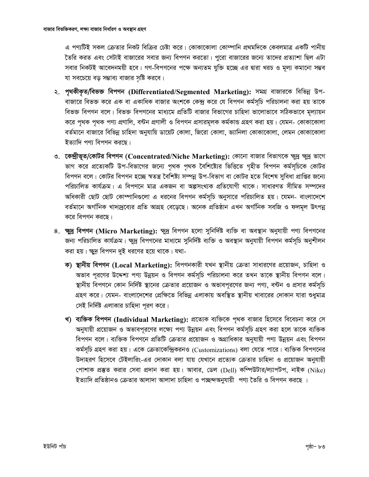এ পণ্যটিই সকল ক্রেতার নিকট বিক্রির চেষ্টা করে। কোকাকোলা কোম্পানি প্রথমদিকে কেবলমাত্র একটি পানীয় তৈরি করত এবং সেটাই বাজারের সবার জন্য বিপণন করতো। পুরো বাজারের জন্যে তাদের প্রত্যাশা ছিল এটা সবার নিকটই আবেদনময়ী হবে। গণ-বিপণনের পক্ষে অন্যতম যুক্তি হচ্ছে এর দ্বারা খরচ ও মূল্য কমানো সম্ভব যা সবচেয়ে বড় সম্ভাব্য বাজার সৃষ্টি করবে।

- ২. পৃথকীকৃত/বিভক্ত বিপণন (Differentiated/Segmented Marketing): সমগ্ৰ বাজারকে বিভিন্ন উপ-বাজারে বিভক্ত করে এক বা একাধিক বাজার অংশকে কেন্দ্র করে যে বিপণন কর্মসূচি পরিচালনা করা হয় তাকে বিভক্ত বিপণন বলে। বিভক্ত বিপণনের মাধ্যমে প্রতিটি বাজার বিভাগের চাহিদা ভালোভাবে সঠিকভাবে মূল্যায়ন করে পৃথক পৃথক পণ্য প্রণালি, বন্টন প্রণালী ও বিপণন প্রসারমূলক কর্মকান্ড গ্রহণ করা হয়। যেমন- কোকাকোলা বর্তমানে বাজারে বিভিন্ন চাহিদা অনুযায়ি ডায়েট কোলা, জিরো কোলা, ভ্যানিলা কোকাকোলা, লেমন কোকাকোলা ইত্যাদি পণ্য বিপণন করছে।
- ৩. কেন্দ্রীভূত/কোটর বিপণন (Concentrated/Niche Marketing): কোনো বাজার বিভাগকে ক্ষুদ্র ক্ষুদ্র ভাগে ভাগ করে প্রত্যেকটি উপ-বিভাগের জন্যে পৃথক পৃথক বৈশিষ্ট্যের ভিত্তিতে গৃহীত বিপণন কর্মসূচিকে কোটর বিপণন বলে। কোটর বিপণন হচ্ছে স্বতন্ত্র বৈশিষ্ট্য সম্পন্ন উপ-বিভাগ বা কোটর হতে বিশেষ সুবিধা প্রাপ্তির জন্যে পরিচালিত কার্যক্রম। এ বিপণনে মাত্র একজন বা অল্পসংখ্যক প্রতিযোগী থাকে। সাধারণত সীমিত সম্পদের অধিকারী ছোট ছোট কোম্পানিগুলো এ ধরনের বিপণন কর্মসূচি অনুসারে পরিচালিত হয়। যেমন- বাংলাদেশে বর্তমানে অর্গানিক খাদ্যদ্রব্যের প্রতি আগ্রহ বেড়েছে। অনেক প্রতিষ্ঠান এখন অর্গানিক সবজি ও ফলমূল উৎপন্ন করে বিপণন করছে।
- 8. ক্ষুদ্র বিপণন (Micro Marketing): ক্ষুদ্র বিপণন হলো সুনির্দিষ্ট ব্যক্তি বা অবস্থান অনুযায়ী পণ্য বিপণনের জন্য পরিচালিত কার্যক্রম। ক্ষুদ্র বিপণনের মাধ্যমে সুনির্দিষ্ট ব্যক্তি ও অবস্থান অনুযায়ী বিপণন কর্মসূচি অনুশীলন করা হয়। ক্ষুদু বিপণন দুই ধরণের হয়ে থাকে। যথা-
	- ক) স্থানীয় বিপণন (Local Marketing): বিপণনকারী যখন স্থানীয় ক্রেতা সাধারণের প্রয়োজন, চাহিদা ও অভাব পূরণের উদ্দেশ্য পণ্য উন্নয়ন ও বিপণন কর্মসূচি পরিচালনা করে তখন তাকে স্থানীয় বিপণন বলে। স্থানীয় বিপণনে কোন নির্দিষ্ট স্থানের ক্রেতার প্রয়োজন ও অভাবপূরণের জন্য পণ্য, বন্টন ও প্রসার কর্মসূচি গ্রহণ করে। যেমন- বাংলাদেশের প্রেক্ষিতে বিভিন্ন এলাকায় অবস্থিত স্থানীয় খাবারের দোকান যারা শুধুমাত্র সেই নির্দিষ্ট এলাকার চাহিদা পূরণ করে।
	- খ) ব্যক্তিক বিপণন (Individual Marketing): প্রত্যেক ব্যক্তিকে পৃথক বাজার হিসেবে বিবেচনা করে সে অনুযায়ী প্রয়োজন ও অভাবপূরণের লক্ষ্যে পণ্য উন্নয়ন এবং বিপণন কর্মসূচি গ্রহণ করা হলে তাকে ব্যক্তিক বিপণন বলে। ব্যক্তিক বিপণনে প্রতিটি ক্রেতার প্রয়োজন ও অগ্রাধিকার অনুযায়ী পণ্য উন্নয়ন এবং বিপণন কর্মসূচি গ্রহণ করা হয়। একে ক্রেতাকেন্দ্রিকরনও (Customizations) বলা যেতে পারে। ব্যক্তিক বিপণনের উদাহরণ হিসেবে টেইলারিং-এর দোকান বলা যায় যেখানে প্রত্যেক ক্রেতার চাহিদা ও প্রয়োজন অনুযায়ী পোশাক প্রস্তুত করার সেবা প্রদান করা হয়। আবার, ডেল (Dell) কম্পিউটার/ল্যাপটপ, নাইক (Nike) ইত্যাদি প্রতিষ্ঠানও ক্রেতার আলাদা আলাদা চাহিদা ও পচ্ছন্দঅনুযায়ী পণ্য তৈরি ও বিপণন করছে ।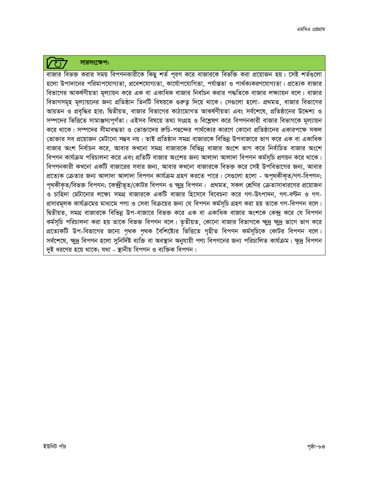## সারসংক্ষেপ:

 $\sqrt{10}$ 

বাজার বিভক্ত করার সময় বিপণনকারীকে কিছু শর্ত পূরণ করে বাজারকে বিভক্তি করা প্রয়োজন হয়। সেই শর্তগুলো হলো উপাদানের পরিমাপযোগ্যতা, প্রবেশযোগ্যতা, কার্যোপযোগিতা, পর্যাগুতা ও পার্থক্যকরণযোগ্যতা। প্রত্যেক বাজার বিভাগের আকর্ষণীয়তা মূল্যায়ন করে এক বা একাধিক বাজার নির্বাচন করার পদ্ধতিকে বাজার লক্ষ্যায়ন বলে। বাজার বিভাগসমূহ মূল্যায়নের জন্য প্রতিষ্ঠান তিনটি বিষয়কে গুরুত্ব দিয়ে থাকে। সেগুলো হলো- প্রথমত, বাজার বিভাগের আয়তন ও প্রবৃদ্ধির হার; দ্বিতীয়ত, বাজার বিভাগের কাঠামোগত আকর্ষণীয়তা এবং সর্বশেষে, প্রতিষ্ঠানের উদ্দেশ্য ও সম্পদের ভিত্তিতে সামাঞ্জস্যপূর্ণতা। এইসব বিষয়ে তথ্য সংগ্রহ ও বিশ্লেষণ করে বিপণনকারী বাজার বিভাগকে মূল্যায়ন করে থাকে। সম্পদের সীমাবদ্ধতা ও ভোক্তাদের রুচি-পছন্দের পার্থক্যের কারণে কোনো প্রতিষ্ঠানের একারপক্ষে সকল ভোক্তার সব প্রয়োজন মেটানো সম্ভব নয়। তাই প্রতিষ্ঠান সমগ্র বাজারকে বিভিন্ন উপবাজারে ভাগ করে এক বা একাধিক বাজার অংশ নির্বাচন করে, আবার কখনো সমগ্র বাজারকে বিভিন্ন বাজার অংশে ভাগ করে নির্বাচিত বাজার অংশে বিপণন কার্যক্রম পরিচালনা করে এবং প্রতিটি বাজার অংশের জন্য আলাদা আলাদা বিপণন কর্মসূচি প্রণয়ন করে থাকে। বিপণনকারী কখনো একটি বাজারের সবার জন্য, আবার কখনো বাজারকে বিভক্ত করে সেই উপবিভাগের জন্য, আবার প্রত্যেক ক্রেতার জন্য আলাদা আলাদা বিপণন কার্যক্রম গ্রহণ করতে পারে। সেগুলো হলো - অপৃথকীকৃত/গণ-বিপণন; পৃথকীকৃত/বিভক্ত বিপণন; কেন্দ্রীভূত/কোটর বিপণন ও ক্ষুদ্র বিপণন। প্রথমত, সকল শ্রেণির ক্রেতাসাধারণের প্রয়োজন ও চাহিদা মেটানোর লক্ষ্যে সমগ্র বাজারকে একটি বাজার হিসেবে বিবেচনা করে গণ-উৎপাদন, গণ-বন্টন ও গণ-প্রসারমূলক কার্যক্রমের মাধ্যমে পণ্য ও সেবা বিক্রয়ের জন্য যে বিপণন কর্মসূচি গ্রহণ করা হয় তাকে গণ-বিপণন বলে। দ্বিতীয়ত, সমগ্র বাজারকে বিভিন্ন উপ-বাজারে বিভক্ত করে এক বা একাধিক বাজার অংশকে কেন্দ্র করে যে বিপণন কর্মসূচি পরিচালনা করা হয় তাকে বিভক্ত বিপণন বলে। তৃতীয়ত, কোনো বাজার বিভাগকে ক্ষুদ্র ক্ষুদ্র ভাগে ভাগ করে প্রত্যেকটি উপ-বিভাগের জন্যে পৃথক পৃথক বৈশিষ্ট্যের ভিত্তিতে গৃহীত বিপণন কর্মসূচিকে কোটর বিপণন বলে। সর্বশেষে, ক্ষুদ্র বিপণন হলো সুনির্দিষ্ট ব্যক্তি বা অবস্থান অনুযায়ী পণ্য বিপণনের জন্য পরিচালিত কার্যক্রম। ক্ষুদ্র বিপণন দুই ধরণের হয়ে থাকে; যথা - স্থানীয় বিপণন ও ব্যক্তিক বিপণন।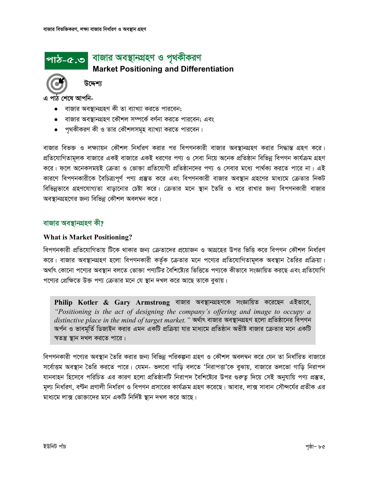## পাঠ-৫.৩ বাজার অবস্থানগ্রহণ ও পৃথকীকরণ

**Market Positioning and Differentiation** 



উদ্দেশ্য

এ পাঠ শেষে আপনি-

- বাজার অবস্থানগ্রহণ কী তা ব্যাখ্যা করতে পারবেন;
- বাজার অবস্থানগ্রহণ কৌশল সম্পর্কে বর্ণনা করতে পারবেন; এবং
- পৃথকীকরণ কী ও তার কৌশলসমূহ ব্যাখ্যা করতে পারবেন।

বাজার বিভক্ত ও লক্ষ্যায়ন কৌশল নির্ধারণ করার পর বিপণনকারী বাজার অবস্থানগ্রহণ করার সিদ্ধান্ত গ্রহণ করে। প্রতিযোগিতামূলক বাজারে একই বাজারে একই ধরণের পণ্য ও সেবা নিয়ে অনেক প্রতিষ্ঠান বিভিন্ন বিপণন কার্যক্রম গ্রহণ করে। ফলে অনেকসময়ই ক্রেতা ও ভোক্তা প্রতিযোগী প্রতিষ্ঠানদের পণ্য ও সেবার মধ্যে পার্থক্য করতে পারে না। এই কারণে বিপণনকারীকে বৈচিত্র্যপূর্ণ পণ্য প্রস্তুত করে এবং বিপণনকারী বাজার অবস্থান গ্রহণের মাধ্যমে ক্রেতার নিকট বিভিন্নভাবে গ্রহণযোগ্যতা বাড়ানোর চেষ্টা করে। ক্রেতার মনে স্থান তৈরি ও ধরে রাখার জন্য বিপণনকারী বাজার অবস্থানগ্রহণের জন্য বিভিন্ন কৌশল অবলম্বন করে।

## বাজার অবস্থানগ্রহণ কী?

## **What is Market Positioning?**

বিপণনকারী প্রতিযোগিতায় টিকে থাকার জন্য ক্রেতাদের প্রয়োজন ও আগ্রহের উপর ভিত্তি করে বিপণন কৌশল নির্ধারণ করে। বাজার অবস্থানগ্রহণ হলো বিপণনকারী কর্তৃক ক্রেতার মনে পণ্যের প্রতিযোগিতামূলক অবস্থান তৈরির প্রক্রিয়া। অর্থাৎ কোনো পণ্যের অবস্থান বলতে ভোক্তা পণ্যটির বৈশিষ্ট্যের ভিত্তিতে পণ্যকে কীভাবে সংজ্ঞায়িত করছে এবং প্রতিযোগি পণ্যের প্রেক্ষিতে উক্ত পণ্য ক্রেতার মনে যে স্থান দখল করে আছে তাকে বুঝায়।

Philip Kotler & Gary Armstrong বাজার অবস্থানগ্রহণকে সংজ্ঞায়িত করেছেন এইভাবে, "Positioning is the act of designing the company's offering and image to occupy a  $\emph{distinctive place in the mind of target market.}$  '' অর্থাৎ বাজার অবস্থান্থ্য হলো প্রতিষ্ঠানের বিপণন অৰ্পন ও ভাবমূৰ্তি ডিজাইন করার এমন একটি প্রক্রিয়া যার মাধ্যমে প্রতিষ্ঠান অভীষ্ট বাজার ক্রেতার মনে একটি স্বতন্ত্র স্থান দখল করতে পারে।

বিপণনকারী পণ্যের অবস্থান তৈরি করার জন্য বিভিন্ন পরিকল্পনা গ্রহণ ও কৌশল অবলম্বন করে যেন তা নির্ধারিত বাজারে সর্বোত্তম অবস্থান তৈরি করতে পারে। যেমন- ভলবো গাড়ি বলতে 'নিরাপত্তা'কে বুঝায়, বাজারে ভলভো গাড়ি নিরাপদ যানবাহন হিসেবে পরিচিত এর কারণ হলো প্রতিষ্ঠানটি নিরাপদ বৈশিষ্ট্যের উপর গুরুত্ব দিয়ে সেই অনুযায়ি পণ্য প্রস্তুত, মূল্য নির্ধারণ, বণ্টন প্রণালী নির্ধারণ ও বিপণন প্রসারের কার্যক্রম গ্রহণ করেছে। আবার, লাক্স সাবান সৌন্দর্যের প্রতীক এর মাধ্যমে লাক্স ভোক্তাদের মনে একটি নির্দিষ্ট স্থান দখল করে আছে।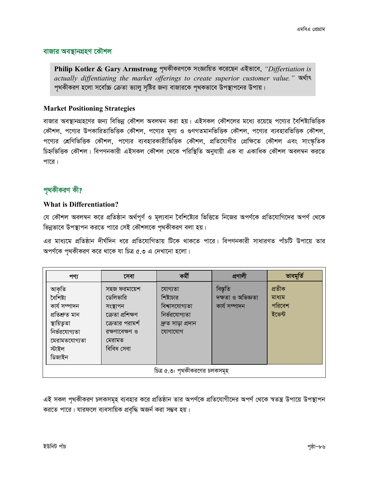## বাজার অবস্থানগ্রহণ কৌশল

Philip Kotler & Gary Armstrong পৃথকীকরণকে সংজ্ঞায়িত করেছেন এইভাবে, "Differtiation is actually diffentiating the market offerings to create superior customer value."  $\mathbb{R}^2$ পৃথকীকরণ হলো সর্বোচ্চ ক্রেতা ভ্যালু সৃষ্টির জন্য বাজারকে পৃথকভাবে উপস্থাপনের উপায়।

## **Market Positioning Strategies**

বাজার অবস্থানগ্রহণের জন্য বিভিন্ন কৌশল অবলম্বন করা হয়। এইসকল কৌশলের মধ্যে রয়েছে পণ্যের বৈশিষ্ট্যভিত্তিক কৌশল, পণ্যের উপকারিতাভিত্তিক কৌশল, পণ্যের মূল্য ও গুণগতমানভিত্তিক কৌশল, পণ্যের ব্যবহারভিত্তিক কৌশল, পণ্যের শ্রেণিভিত্তিক কৌশল, পণ্যের ব্যবহারকারীভিত্তিক কৌশল, প্রতিযোগীর প্রেক্ষিতে কৌশল এবং সাংস্কৃতিক চিহ্নভিত্তিক কৌশল। বিপণনকারী এইসকল কৌশল থেকে পরিস্থিতি অনুযায়ী এক বা একাধিক কৌশল অবলম্বন করতে পারে।

## পৃথকীকরণ কী?

## **What is Differentiation?**

যে কৌশল অবলম্বন করে প্রতিষ্ঠান অর্থপূর্ণ ও মূল্যবান বৈশিষ্ট্যের ভিত্তিতে নিজের অপর্ণকে প্রতিযোগিদের অপর্ণ থেকে ভিন্নভাবে উপস্থাপন করতে পারে সেই কৌশলকে পৃথকীকরণ বলা হয়।

এর মাধ্যমে প্রতিষ্ঠান দীর্ঘদিন ধরে প্রতিযোগিতায় টিকে থাকতে পারে। বিপণনকারী সাধারণত পাঁচটি উপায়ে তার অপর্ণকে পৃথকীকরণ করে থাকে যা চিত্র ৫.৩ এ দেখানো হলো।

| পণ্য                                                                 | সেবা                                                                        | কৰ্মী                                                                         | প্ৰণালী                                        | ভাবমূৰ্তি                            |  |  |
|----------------------------------------------------------------------|-----------------------------------------------------------------------------|-------------------------------------------------------------------------------|------------------------------------------------|--------------------------------------|--|--|
| আকৃতি<br>বৈশিষ্ট্য<br>কাৰ্য সম্পাদন<br>প্ৰতিশ্ৰুত মান<br>স্থায়িতৃতা | সহজ ফরমায়েশ<br>ডেলিভারি<br>সংস্থাপন<br>ক্ৰেতা প্ৰশিক্ষণ<br>ক্রেতার পরামর্শ | যোগ্যতা<br>শিষ্টাচার<br>বিশ্বাসযোগ্যতা<br>নিৰ্ভরযোগ্যতা<br>দ্ৰুত সাড়া প্ৰদান | বিস্তৃতি<br>দক্ষতা ও অভিজ্ঞতা<br>কাৰ্য সম্পাদন | প্ৰতীক<br>মাধ্যম<br>পরিবেশ<br>ইভেন্ট |  |  |
| নিৰ্ভরযোগ্যতা<br>মেরামতযোগ্যতা<br>স্টাইল<br>ডিজাইন                   | রক্ষণাবেক্ষণ ও<br>মেরামত<br>বিবিধ সেবা                                      | যোগাযোগ                                                                       |                                                |                                      |  |  |
| চিত্র ৫.৩: পৃথকীকরণের চলকসমূহ                                        |                                                                             |                                                                               |                                                |                                      |  |  |

এই সকল পৃথকীকরণ চলকসমূহ ব্যবহার করে প্রতিষ্ঠান তার অপর্ণকে প্রতিযোগীদের অপর্ণ থেকে স্বতন্ত্র উপায়ে উপস্থাপন করতে পারে। যারফলে ব্যবসায়িক প্রবৃদ্ধি অজর্ন করা সম্ভব হয়।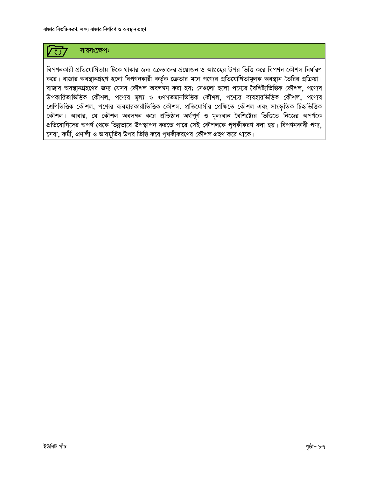

বিপণনকারী প্রতিযোগিতায় টিকে থাকার জন্য ক্রেতাদের প্রয়োজন ও আগ্রহের উপর ভিত্তি করে বিপণন কৌশল নির্ধারণ করে। বাজার অবস্থানগ্রহণ হলো বিপণনকারী কর্তৃক ক্রেতার মনে পণ্যের প্রতিযোগিতামূলক অবস্থান তৈরির প্রক্রিয়া। বাজার অবস্থানগ্রহণের জন্য যেসব কৌশল অবলম্বন করা হয়; সেগুলো হলো পণ্যের বৈশিষ্ট্যভিত্তিক কৌশল, পণ্যের উপকারিতাভিত্তিক কৌশল, পণ্যের মূল্য ও গুণগতমানভিত্তিক কৌশল, পণ্যের ব্যবহারভিত্তিক কৌশল, পণ্যের শ্রেণিভিত্তিক কৌশল, পণ্যের ব্যবহারকারীভিত্তিক কৌশল, প্রতিযোগীর প্রেক্ষিতে কৌশল এবং সাংস্কৃতিক চিহ্নভিত্তিক কৌশল। আবার, যে কৌশল অবলম্বন করে প্রতিষ্ঠান অর্থপূর্ণ ও মূল্যবান বৈশিষ্ট্যের ভিত্তিতে নিজের অপর্ণকে প্রতিযোগিদের অপর্ণ থেকে ভিন্নভাবে উপস্থাপন করতে পারে সেই কৌশলকে পৃথকীকরণ বলা হয়। বিপণনকারী পণ্য, সেবা, কর্মী, প্রণালী ও ভাবমূর্তির উপর ভিত্তি করে পৃথকীকরণের কৌশল গ্রহণ করে থাকে।